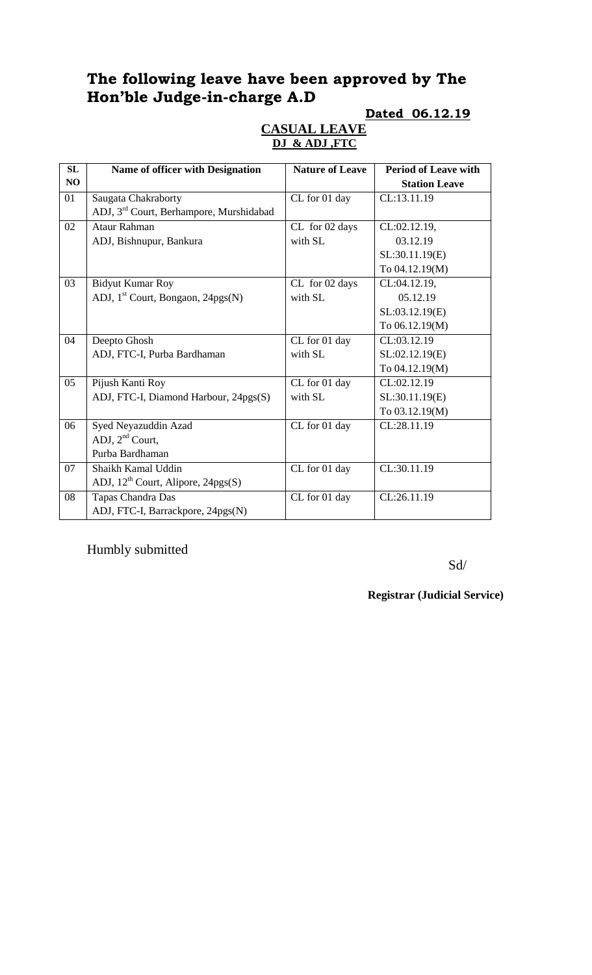# **The following leave have been approved by The Hon'ble Judge-in-charge A.D**

### **Dated 06.12.19**

### **CASUAL LEAVE DJ & ADJ ,FTC**

| SL             | <b>Name of officer with Designation</b>             | <b>Nature of Leave</b> | <b>Period of Leave with</b> |
|----------------|-----------------------------------------------------|------------------------|-----------------------------|
| N <sub>O</sub> |                                                     |                        | <b>Station Leave</b>        |
| 01             | Saugata Chakraborty                                 | CL for 01 day          | CL:13.11.19                 |
|                | ADJ, 3 <sup>rd</sup> Court, Berhampore, Murshidabad |                        |                             |
| 02             | <b>Ataur Rahman</b>                                 | CL for 02 days         | CL:02.12.19,                |
|                | ADJ, Bishnupur, Bankura                             | with SL                | 03.12.19                    |
|                |                                                     |                        | SL:30.11.19(E)              |
|                |                                                     |                        | To 04.12.19(M)              |
| 03             | <b>Bidyut Kumar Roy</b>                             | CL for 02 days         | CL:04.12.19,                |
|                | ADJ, 1 <sup>st</sup> Court, Bongaon, 24pgs(N)       | with SL                | 05.12.19                    |
|                |                                                     |                        | SL:03.12.19(E)              |
|                |                                                     |                        | To 06.12.19(M)              |
| 04             | Deepto Ghosh                                        | CL for 01 day          | CL:03.12.19                 |
|                | ADJ, FTC-I, Purba Bardhaman                         | with SL                | SL:02.12.19(E)              |
|                |                                                     |                        | To 04.12.19(M)              |
| 05             | Pijush Kanti Roy                                    | CL for 01 day          | CL:02.12.19                 |
|                | ADJ, FTC-I, Diamond Harbour, 24pgs(S)               | with SL                | SL:30.11.19(E)              |
|                |                                                     |                        | To 03.12.19(M)              |
| 06             | Syed Neyazuddin Azad                                | CL for 01 day          | CL:28.11.19                 |
|                | ADJ, $2nd$ Court,                                   |                        |                             |
|                | Purba Bardhaman                                     |                        |                             |
| 07             | Shaikh Kamal Uddin                                  | CL for 01 day          | CL:30.11.19                 |
|                | ADJ, $12^{th}$ Court, Alipore, $24pgs(S)$           |                        |                             |
| 08             | Tapas Chandra Das                                   | CL for 01 day          | CL:26.11.19                 |
|                | ADJ, FTC-I, Barrackpore, 24pgs(N)                   |                        |                             |

Humbly submitted

Sd/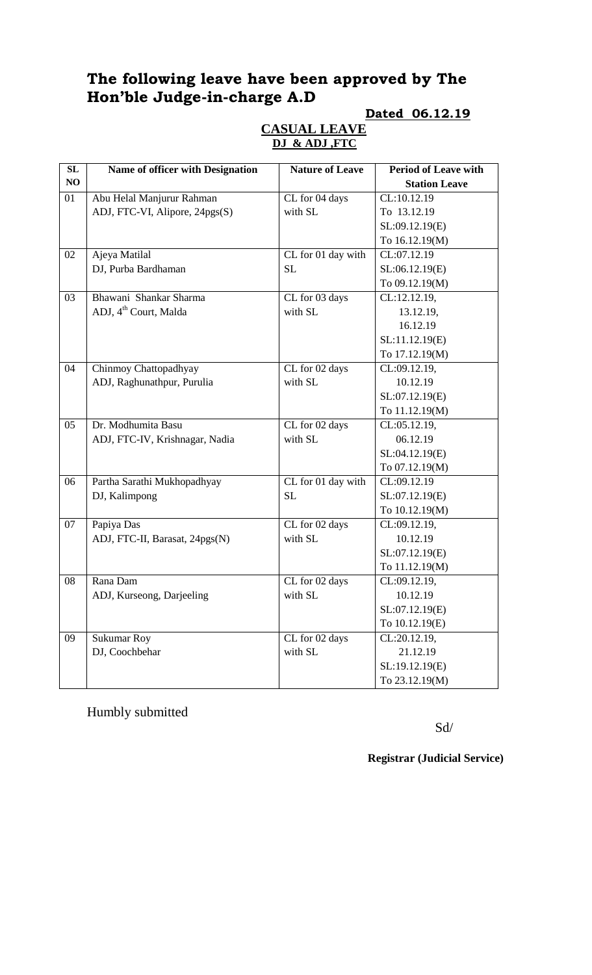# **The following leave have been approved by The Hon'ble Judge-in-charge A.D**

### **Dated 06.12.19**

### **CASUAL LEAVE DJ & ADJ ,FTC**

| SL | Name of officer with Designation  | <b>Nature of Leave</b> | <b>Period of Leave with</b> |
|----|-----------------------------------|------------------------|-----------------------------|
| NO |                                   |                        | <b>Station Leave</b>        |
| 01 | Abu Helal Manjurur Rahman         | CL for 04 days         | CL:10.12.19                 |
|    | ADJ, FTC-VI, Alipore, 24pgs(S)    | with SL                | To 13.12.19                 |
|    |                                   |                        | SL:09.12.19(E)              |
|    |                                   |                        | To 16.12.19(M)              |
| 02 | Ajeya Matilal                     | CL for 01 day with     | CL:07.12.19                 |
|    | DJ, Purba Bardhaman               | <b>SL</b>              | SL:06.12.19(E)              |
|    |                                   |                        | To 09.12.19(M)              |
| 03 | Bhawani Shankar Sharma            | CL for 03 days         | CL:12.12.19,                |
|    | ADJ, 4 <sup>th</sup> Court, Malda | with SL                | 13.12.19,                   |
|    |                                   |                        | 16.12.19                    |
|    |                                   |                        | SL:11.12.19(E)              |
|    |                                   |                        | To 17.12.19(M)              |
| 04 | Chinmoy Chattopadhyay             | CL for 02 days         | CL:09.12.19,                |
|    | ADJ, Raghunathpur, Purulia        | with SL                | 10.12.19                    |
|    |                                   |                        | SL:07.12.19(E)              |
|    |                                   |                        | To 11.12.19(M)              |
| 05 | Dr. Modhumita Basu                | CL for 02 days         | CL:05.12.19,                |
|    | ADJ, FTC-IV, Krishnagar, Nadia    | with SL                | 06.12.19                    |
|    |                                   |                        | SL:04.12.19(E)              |
|    |                                   |                        | To 07.12.19(M)              |
| 06 | Partha Sarathi Mukhopadhyay       | CL for 01 day with     | CL:09.12.19                 |
|    | DJ, Kalimpong                     | <b>SL</b>              | SL:07.12.19(E)              |
|    |                                   |                        | To 10.12.19(M)              |
| 07 | Papiya Das                        | CL for 02 days         | CL:09.12.19,                |
|    | ADJ, FTC-II, Barasat, 24pgs(N)    | with SL                | 10.12.19                    |
|    |                                   |                        | SL:07.12.19(E)              |
|    |                                   |                        | To 11.12.19(M)              |
| 08 | Rana Dam                          | CL for 02 days         | CL:09.12.19,                |
|    | ADJ, Kurseong, Darjeeling         | with SL                | 10.12.19                    |
|    |                                   |                        | SL:07.12.19(E)              |
|    |                                   |                        | To 10.12.19(E)              |
| 09 | <b>Sukumar Roy</b>                | CL for 02 days         | CL:20.12.19,                |
|    | DJ, Coochbehar                    | with SL                | 21.12.19                    |
|    |                                   |                        | SL:19.12.19(E)              |
|    |                                   |                        | To 23.12.19(M)              |

Humbly submitted

Sd/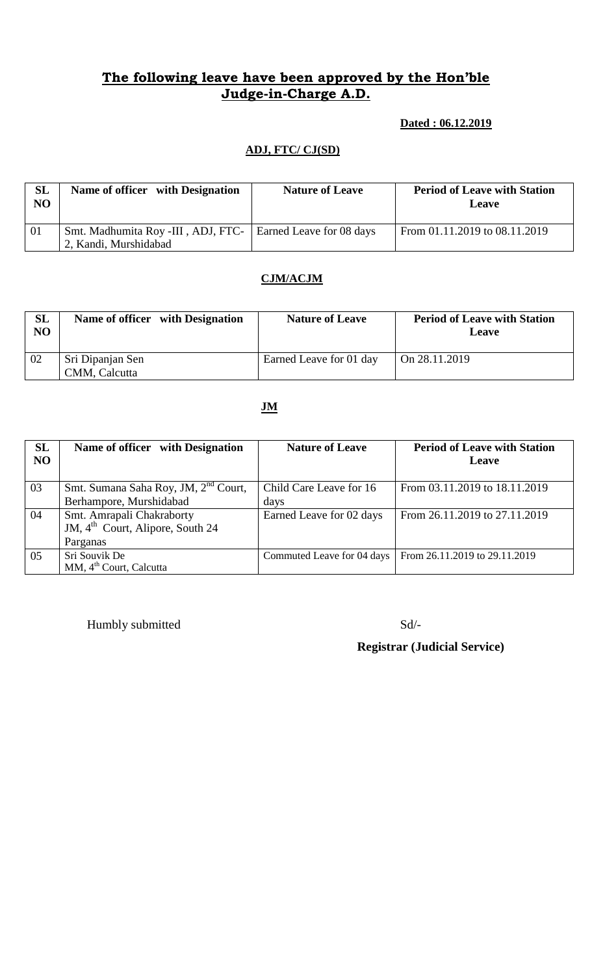## **The following leave have been approved by the Hon'ble Judge-in-Charge A.D.**

## **Dated : 06.12.2019**

### **ADJ, FTC/ CJ(SD)**

| <b>SL</b><br>NO | Name of officer with Designation                              | <b>Nature of Leave</b> | <b>Period of Leave with Station</b><br>Leave |
|-----------------|---------------------------------------------------------------|------------------------|----------------------------------------------|
| 01              | Smt. Madhumita Roy -III, ADJ, FTC-   Earned Leave for 08 days |                        | From 01.11.2019 to 08.11.2019                |
|                 | 2, Kandi, Murshidabad                                         |                        |                                              |

### **CJM/ACJM**

| SL<br>NO | Name of officer with Designation  | <b>Nature of Leave</b>  | <b>Period of Leave with Station</b><br>Leave |
|----------|-----------------------------------|-------------------------|----------------------------------------------|
| 02       | Sri Dipanjan Sen<br>CMM, Calcutta | Earned Leave for 01 day | On 28.11.2019                                |

### **JM**

| SL<br>N <sub>O</sub> | Name of officer with Designation                                          | <b>Nature of Leave</b>     | <b>Period of Leave with Station</b><br>Leave |
|----------------------|---------------------------------------------------------------------------|----------------------------|----------------------------------------------|
| 03                   | Smt. Sumana Saha Roy, JM, 2 <sup>nd</sup> Court,                          | Child Care Leave for 16    | From 03.11.2019 to 18.11.2019                |
|                      | Berhampore, Murshidabad                                                   | days                       |                                              |
| 04                   | Smt. Amrapali Chakraborty<br>JM, 4 <sup>th</sup> Court, Alipore, South 24 | Earned Leave for 02 days   | From 26.11.2019 to 27.11.2019                |
|                      | Parganas                                                                  |                            |                                              |
| 05                   | Sri Souvik De<br>MM, 4 <sup>th</sup> Court, Calcutta                      | Commuted Leave for 04 days | From 26.11.2019 to 29.11.2019                |

Humbly submitted Sd/-